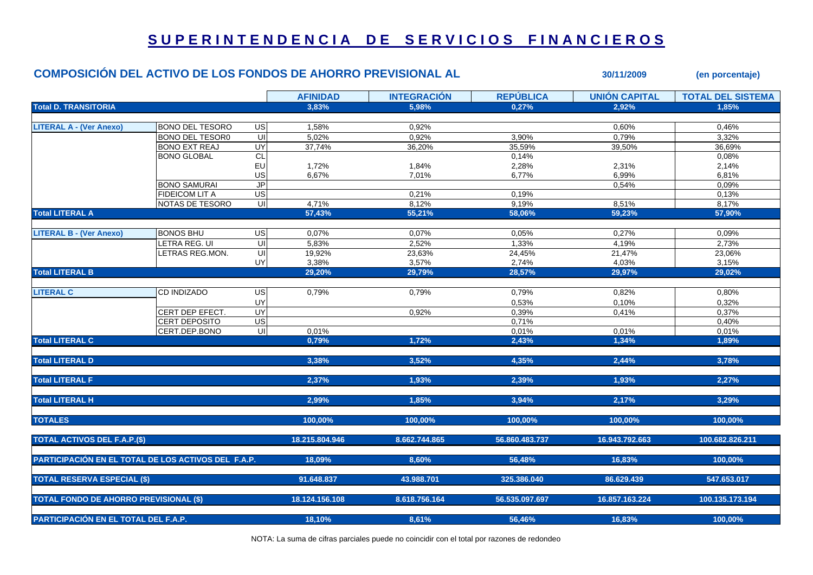## SUPERINTENDENCIA DE SERVICIOS FINANCIEROS

## **COMPOSICIÓN DEL ACTIVO DE LOS FONDOS DE AHORRO PREVISIONAL AL 30/11/2009 (en porcentaje) AFINIDAD INTEGRACIÓN REPÚBLICA UNIÓN CAPITAL TOTAL DEL SISTEMATotal D. TRANSITORIA 3,83% 5,98% 0,27% 2,92% 1,85% LITERAL A - (Ver Anexo)** BONO DEL TESORO US 1,58% 0,92% 0,60% 0,46% BONO DEL TESOR0 UI 5,02% 0,92% 3,90% 0,79% 3,32% BONO EXT REAJ UY| 37,74% 36,20% 35,59% 39,50% 36,69% BONO GLOBAL CL 0,14% 0,08% EU 1,72% 1,84% 2,28% 2,31% 2,14% US 6,67% 7,01% 6,77% 6,99% 6,81% BONO SAMURAI JPP| 0,54% | 0,09% FIDEICOM LIT A US| 0,21% 0,19% 0,13%  $\begin{array}{ccccccc} \text{NOTAS DE TESORO} & & \text{U1} & & 4,71\% & & 8,12\% & & 9,19\% & & 8,51\% & & \end{array}$ **Total LITERAL A 57,43% 55,21% 58,06% 59,23% 57,90% LITERAL B - (Ver Anexo)** BONOS BHU US 0,07% 0,07% 0,05% 0,27% 0,09% LETRA REG. UI UI 5,83% 2,52% 1,33% 4,19% 2,73% LETRAS REG.MON. UI 19,92% 23,63% 24,45% 21,47% 23,06% UY| 3,38% 3,57% 2,74% 4,03% | 3,15% **Total LITERAL B 29,20% 29,79% 28,57% 29,97% 29,02% LITERAL C**C 0,79% 0,79% 0,82% 0,80% UY 0,53% 0,10% 0,32% CERT DEP EFECT. UY 0.92% 0.39% 0.41% 0.41% 0.37% 0.37% CERT DEPOSITO US  $\sim$  0,71% 0,71% 0,40% CERT.DEP.BONO UI | 0.01% 0.01% 0.01% 0.01% **Total LITERAL C 0,79% 1,72% 2,43% 1,34% 1,89% Total LITERAL D 3,38% 3,52% 4,35% 2,44% 3,78% Total LITERAL F 2,37% 1,93% 2,39% 1,93% 2,27% Total LITERAL H 2,99% 1,85% 3,94% 2,17% 3,29% TOTALES 100,00% 100,00% 100,00% 100,00% 100,00% TOTAL ACTIVOS DEL F.A.P.(\$) 18.215.804.946 8.662.744.865 56.860.483.737 16.943.792.663 100.682.826.211 PARTICIPACIÓN EN EL TOTAL DE LOS ACTIVOS DEL F.A.P. 18,09% 8,60% 56,48% 16,83% 100,00% TOTAL RESERVA ESPECIAL (\$) 91.648.837 43.988.701 325.386.040 86.629.439 547.653.017 TOTAL FONDO DE AHORRO PREVISIONAL (\$) 18.124.156.108 8.618.756.164 56.535.097.697 16.857.163.224 100.135.173.194 PARTICIPACIÓN EN EL TOTAL DEL F.A.P. 18,10% 8,61% 56,46% 16,83% 100,00%**

NOTA: La suma de cifras parciales puede no coincidir con el total por razones de redondeo